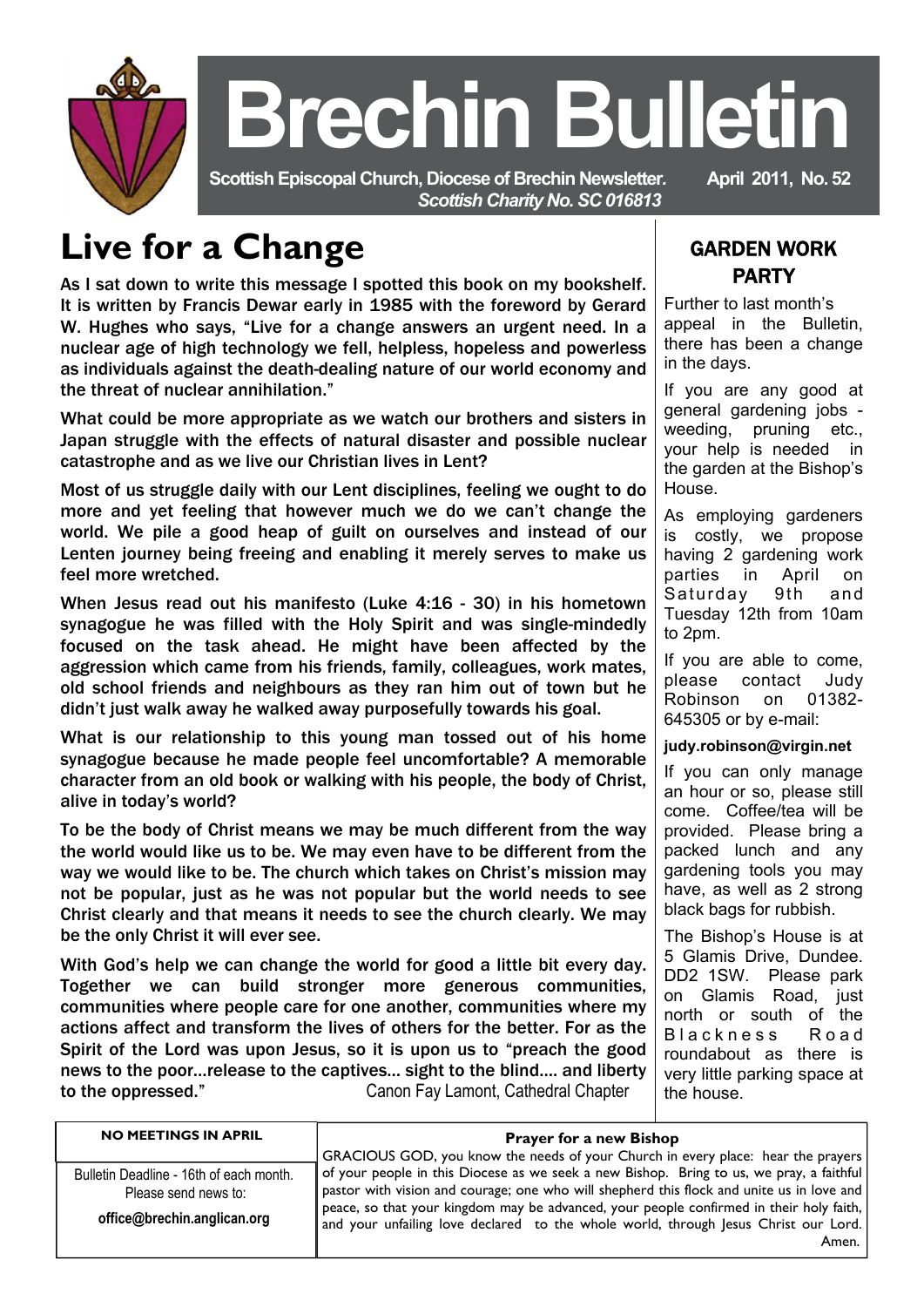

# **Brechin Bulletin**

 **Scottish Episcopal Church, Diocese of Brechin Newsletter***.* **April 2011, No. 52**  *Scottish Charity No. SC 016813* 

## **Live for a Change**

As I sat down to write this message I spotted this book on my bookshelf. It is written by Francis Dewar early in 1985 with the foreword by Gerard W. Hughes who says, "Live for a change answers an urgent need. In a nuclear age of high technology we fell, helpless, hopeless and powerless as individuals against the death-dealing nature of our world economy and the threat of nuclear annihilation."

What could be more appropriate as we watch our brothers and sisters in Japan struggle with the effects of natural disaster and possible nuclear catastrophe and as we live our Christian lives in Lent?

Most of us struggle daily with our Lent disciplines, feeling we ought to do more and yet feeling that however much we do we can't change the world. We pile a good heap of guilt on ourselves and instead of our Lenten journey being freeing and enabling it merely serves to make us feel more wretched.

When Jesus read out his manifesto (Luke 4:16 - 30) in his hometown synagogue he was filled with the Holy Spirit and was single-mindedly focused on the task ahead. He might have been affected by the aggression which came from his friends, family, colleagues, work mates, old school friends and neighbours as they ran him out of town but he didn't just walk away he walked away purposefully towards his goal.

What is our relationship to this young man tossed out of his home synagogue because he made people feel uncomfortable? A memorable character from an old book or walking with his people, the body of Christ, alive in today's world?

To be the body of Christ means we may be much different from the way the world would like us to be. We may even have to be different from the way we would like to be. The church which takes on Christ's mission may not be popular, just as he was not popular but the world needs to see Christ clearly and that means it needs to see the church clearly. We may be the only Christ it will ever see.

With God's help we can change the world for good a little bit every day. Together we can build stronger more generous communities, communities where people care for one another, communities where my actions affect and transform the lives of others for the better. For as the Spirit of the Lord was upon Jesus, so it is upon us to "preach the good news to the poor…release to the captives… sight to the blind…. and liberty to the oppressed." Canon Fay Lamont, Cathedral Chapter

### GARDEN WORK PARTY

Further to last month's appeal in the Bulletin, there has been a change in the days.

If you are any good at general gardening jobs weeding, pruning etc., your help is needed in the garden at the Bishop's House.

As employing gardeners is costly, we propose having 2 gardening work parties in April on Saturday 9th and Tuesday 12th from 10am to 2pm.

If you are able to come, please contact Judy<br>Robinson on 01382-Robinson on 01382- 645305 or by e-mail:

#### **judy.robinson@virgin.net**

If you can only manage an hour or so, please still come. Coffee/tea will be provided. Please bring a packed lunch and any gardening tools you may have, as well as 2 strong black bags for rubbish.

The Bishop's House is at 5 Glamis Drive, Dundee. DD2 1SW. Please park on Glamis Road, iust north or south of the Blackness Road roundabout as there is very little parking space at the house.

| <b>NO MEETINGS IN APRIL</b>                                                                    | <b>Prayer for a new Bishop</b><br>GRACIOUS GOD, you know the needs of your Church in every place: hear the prayers                                                                                                                                                                                                                                                               |
|------------------------------------------------------------------------------------------------|----------------------------------------------------------------------------------------------------------------------------------------------------------------------------------------------------------------------------------------------------------------------------------------------------------------------------------------------------------------------------------|
| Bulletin Deadline - 16th of each month.<br>Please send news to:<br>office@brechin.anglican.org | of your people in this Diocese as we seek a new Bishop. Bring to us, we pray, a faithful<br>pastor with vision and courage; one who will shepherd this flock and unite us in love and<br>peace, so that your kingdom may be advanced, your people confirmed in their holy faith,<br>and your unfailing love declared to the whole world, through Jesus Christ our Lord.<br>Amen. |